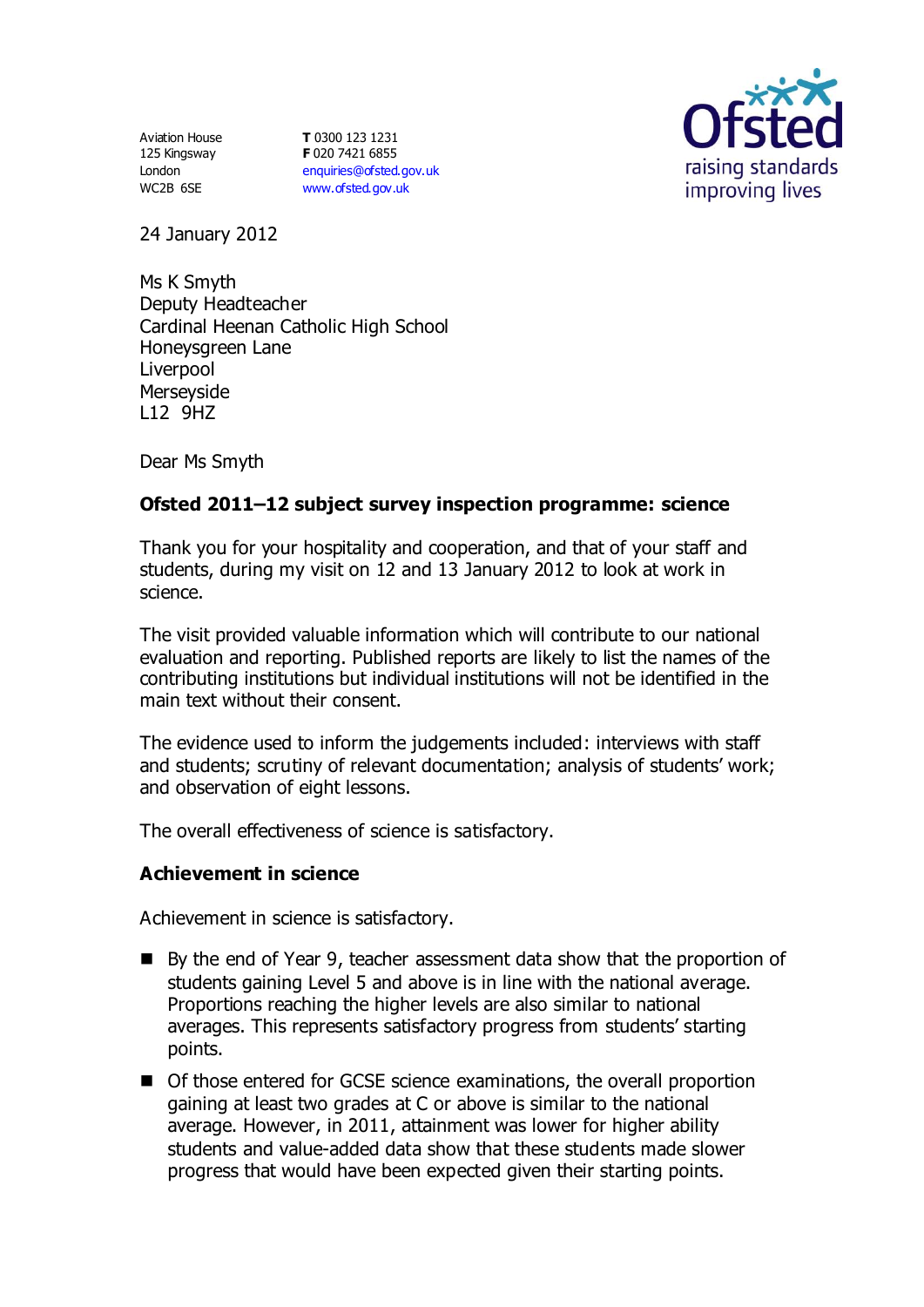Aviation House 125 Kingsway London WC2B 6SE

**T** 0300 123 1231 **F** 020 7421 6855 [enquiries@ofsted.gov.uk](mailto:enquiries@ofsted.gov.uk) [www.ofsted.gov.uk](http://www.ofsted.gov.uk/)



24 January 2012

Ms K Smyth Deputy Headteacher Cardinal Heenan Catholic High School Honeysgreen Lane **Liverpool** Merseyside L12 9HZ

Dear Ms Smyth

# **Ofsted 2011–12 subject survey inspection programme: science**

Thank you for your hospitality and cooperation, and that of your staff and students, during my visit on 12 and 13 January 2012 to look at work in science.

The visit provided valuable information which will contribute to our national evaluation and reporting. Published reports are likely to list the names of the contributing institutions but individual institutions will not be identified in the main text without their consent.

The evidence used to inform the judgements included: interviews with staff and students; scrutiny of relevant documentation; analysis of students' work; and observation of eight lessons.

The overall effectiveness of science is satisfactory.

### **Achievement in science**

Achievement in science is satisfactory.

- By the end of Year 9, teacher assessment data show that the proportion of students gaining Level 5 and above is in line with the national average. Proportions reaching the higher levels are also similar to national averages. This represents satisfactory progress from students' starting points.
- Of those entered for GCSE science examinations, the overall proportion gaining at least two grades at C or above is similar to the national average. However, in 2011, attainment was lower for higher ability students and value-added data show that these students made slower progress that would have been expected given their starting points.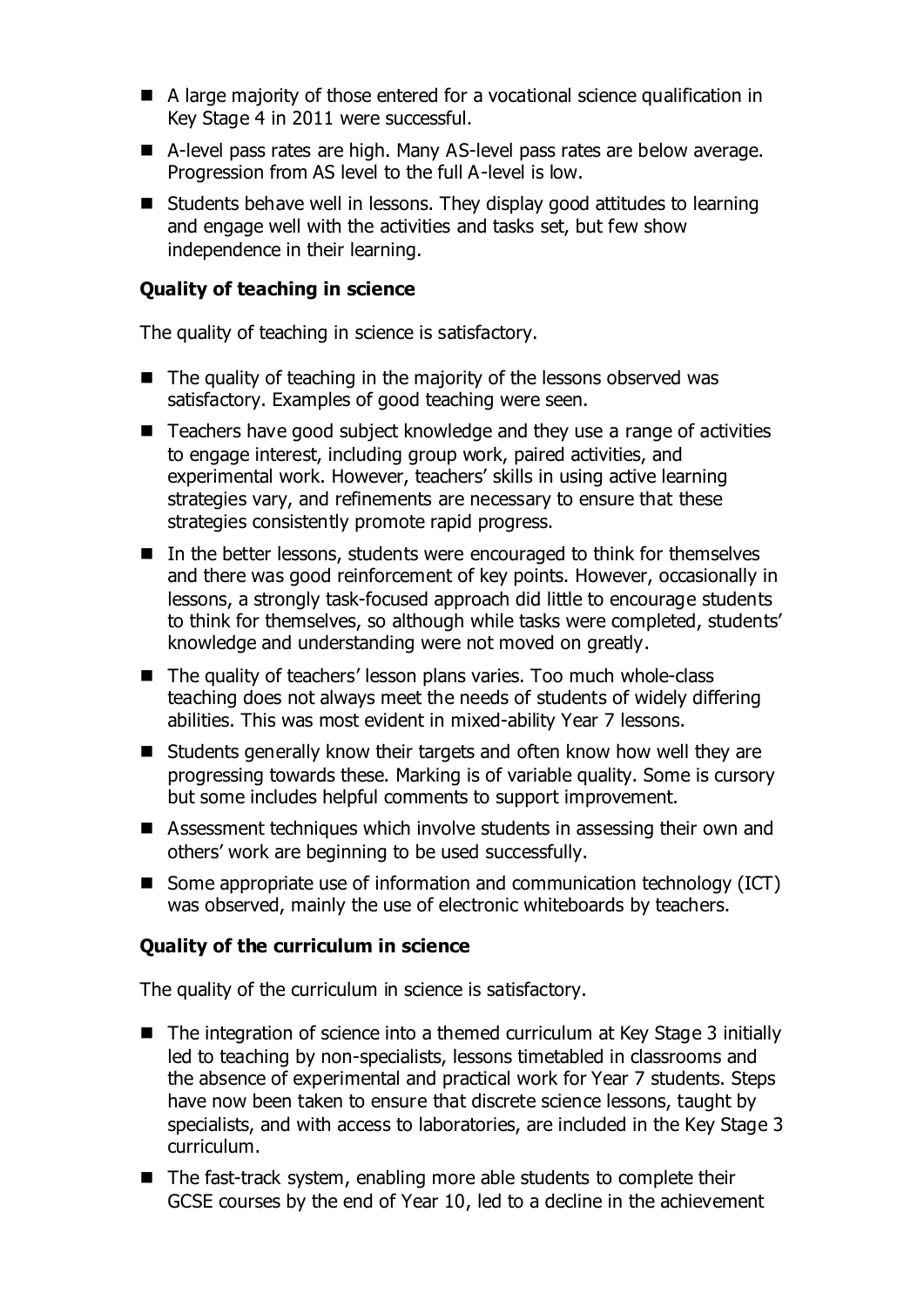- A large majority of those entered for a vocational science qualification in Key Stage 4 in 2011 were successful.
- A-level pass rates are high. Many AS-level pass rates are below average. Progression from AS level to the full A-level is low.
- Students behave well in lessons. They display good attitudes to learning and engage well with the activities and tasks set, but few show independence in their learning.

# **Quality of teaching in science**

The quality of teaching in science is satisfactory.

- $\blacksquare$  The quality of teaching in the majority of the lessons observed was satisfactory. Examples of good teaching were seen.
- Teachers have good subject knowledge and they use a range of activities to engage interest, including group work, paired activities, and experimental work. However, teachers' skills in using active learning strategies vary, and refinements are necessary to ensure that these strategies consistently promote rapid progress.
- In the better lessons, students were encouraged to think for themselves and there was good reinforcement of key points. However, occasionally in lessons, a strongly task-focused approach did little to encourage students to think for themselves, so although while tasks were completed, students' knowledge and understanding were not moved on greatly.
- The quality of teachers' lesson plans varies. Too much whole-class teaching does not always meet the needs of students of widely differing abilities. This was most evident in mixed-ability Year 7 lessons.
- Students generally know their targets and often know how well they are progressing towards these. Marking is of variable quality. Some is cursory but some includes helpful comments to support improvement.
- Assessment techniques which involve students in assessing their own and others' work are beginning to be used successfully.
- Some appropriate use of information and communication technology (ICT) was observed, mainly the use of electronic whiteboards by teachers.

### **Quality of the curriculum in science**

The quality of the curriculum in science is satisfactory.

- The integration of science into a themed curriculum at Key Stage 3 initially led to teaching by non-specialists, lessons timetabled in classrooms and the absence of experimental and practical work for Year 7 students. Steps have now been taken to ensure that discrete science lessons, taught by specialists, and with access to laboratories, are included in the Key Stage 3 curriculum.
- The fast-track system, enabling more able students to complete their GCSE courses by the end of Year 10, led to a decline in the achievement